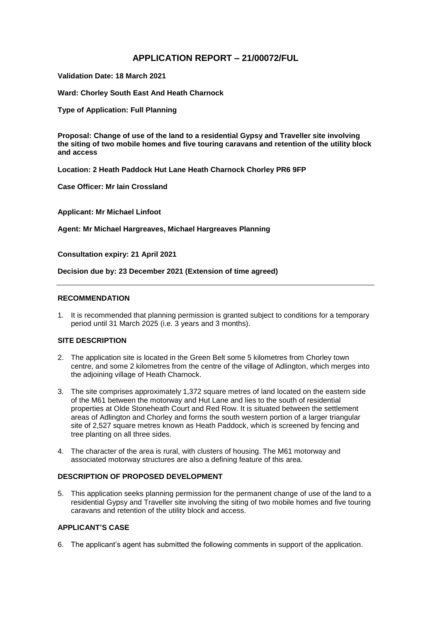# **APPLICATION REPORT – 21/00072/FUL**

**Validation Date: 18 March 2021**

**Ward: Chorley South East And Heath Charnock**

**Type of Application: Full Planning**

**Proposal: Change of use of the land to a residential Gypsy and Traveller site involving the siting of two mobile homes and five touring caravans and retention of the utility block and access**

**Location: 2 Heath Paddock Hut Lane Heath Charnock Chorley PR6 9FP** 

**Case Officer: Mr Iain Crossland**

**Applicant: Mr Michael Linfoot**

**Agent: Mr Michael Hargreaves, Michael Hargreaves Planning**

**Consultation expiry: 21 April 2021**

**Decision due by: 23 December 2021 (Extension of time agreed)**

### **RECOMMENDATION**

1. It is recommended that planning permission is granted subject to conditions for a temporary period until 31 March 2025 (i.e. 3 years and 3 months).

### **SITE DESCRIPTION**

- 2. The application site is located in the Green Belt some 5 kilometres from Chorley town centre, and some 2 kilometres from the centre of the village of Adlington, which merges into the adjoining village of Heath Charnock.
- 3. The site comprises approximately 1,372 square metres of land located on the eastern side of the M61 between the motorway and Hut Lane and lies to the south of residential properties at Olde Stoneheath Court and Red Row. It is situated between the settlement areas of Adlington and Chorley and forms the south western portion of a larger triangular site of 2,527 square metres known as Heath Paddock, which is screened by fencing and tree planting on all three sides.
- 4. The character of the area is rural, with clusters of housing. The M61 motorway and associated motorway structures are also a defining feature of this area.

# **DESCRIPTION OF PROPOSED DEVELOPMENT**

5. This application seeks planning permission for the permanent change of use of the land to a residential Gypsy and Traveller site involving the siting of two mobile homes and five touring caravans and retention of the utility block and access.

# **APPLICANT'S CASE**

6. The applicant's agent has submitted the following comments in support of the application.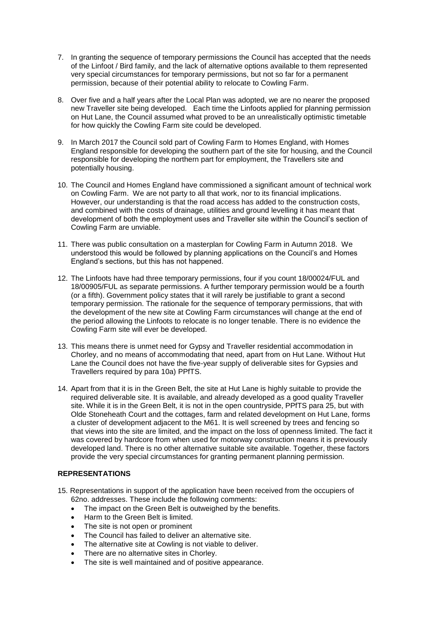- 7. In granting the sequence of temporary permissions the Council has accepted that the needs of the Linfoot / Bird family, and the lack of alternative options available to them represented very special circumstances for temporary permissions, but not so far for a permanent permission, because of their potential ability to relocate to Cowling Farm.
- 8. Over five and a half years after the Local Plan was adopted, we are no nearer the proposed new Traveller site being developed. Each time the Linfoots applied for planning permission on Hut Lane, the Council assumed what proved to be an unrealistically optimistic timetable for how quickly the Cowling Farm site could be developed.
- 9. In March 2017 the Council sold part of Cowling Farm to Homes England, with Homes England responsible for developing the southern part of the site for housing, and the Council responsible for developing the northern part for employment, the Travellers site and potentially housing.
- 10. The Council and Homes England have commissioned a significant amount of technical work on Cowling Farm. We are not party to all that work, nor to its financial implications. However, our understanding is that the road access has added to the construction costs, and combined with the costs of drainage, utilities and ground levelling it has meant that development of both the employment uses and Traveller site within the Council's section of Cowling Farm are unviable.
- 11. There was public consultation on a masterplan for Cowling Farm in Autumn 2018. We understood this would be followed by planning applications on the Council's and Homes England's sections, but this has not happened.
- 12. The Linfoots have had three temporary permissions, four if you count 18/00024/FUL and 18/00905/FUL as separate permissions. A further temporary permission would be a fourth (or a fifth). Government policy states that it will rarely be justifiable to grant a second temporary permission. The rationale for the sequence of temporary permissions, that with the development of the new site at Cowling Farm circumstances will change at the end of the period allowing the Linfoots to relocate is no longer tenable. There is no evidence the Cowling Farm site will ever be developed.
- 13. This means there is unmet need for Gypsy and Traveller residential accommodation in Chorley, and no means of accommodating that need, apart from on Hut Lane. Without Hut Lane the Council does not have the five-year supply of deliverable sites for Gypsies and Travellers required by para 10a) PPfTS.
- 14. Apart from that it is in the Green Belt, the site at Hut Lane is highly suitable to provide the required deliverable site. It is available, and already developed as a good quality Traveller site. While it is in the Green Belt, it is not in the open countryside, PPfTS para 25, but with Olde Stoneheath Court and the cottages, farm and related development on Hut Lane, forms a cluster of development adjacent to the M61. It is well screened by trees and fencing so that views into the site are limited, and the impact on the loss of openness limited. The fact it was covered by hardcore from when used for motorway construction means it is previously developed land. There is no other alternative suitable site available. Together, these factors provide the very special circumstances for granting permanent planning permission.

# **REPRESENTATIONS**

- 15. Representations in support of the application have been received from the occupiers of 62no. addresses. These include the following comments:
	- The impact on the Green Belt is outweighed by the benefits.
	- Harm to the Green Belt is limited.
	- The site is not open or prominent
	- The Council has failed to deliver an alternative site.
	- The alternative site at Cowling is not viable to deliver.
	- There are no alternative sites in Chorley.
	- The site is well maintained and of positive appearance.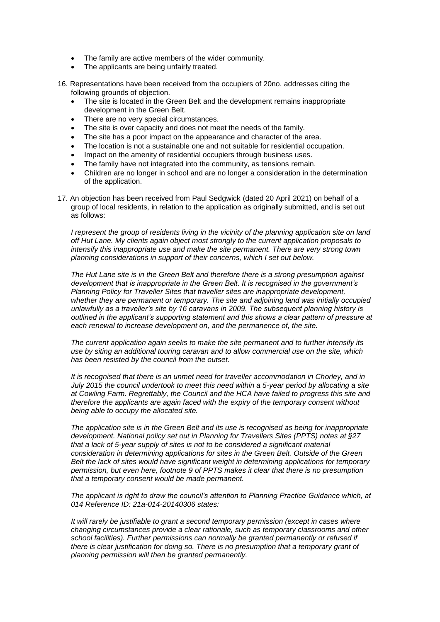- The family are active members of the wider community.
- The applicants are being unfairly treated.
- 16. Representations have been received from the occupiers of 20no. addresses citing the following grounds of objection.
	- The site is located in the Green Belt and the development remains inappropriate development in the Green Belt.
	- There are no very special circumstances.
	- The site is over capacity and does not meet the needs of the family.
	- The site has a poor impact on the appearance and character of the area.
	- The location is not a sustainable one and not suitable for residential occupation.
	- Impact on the amenity of residential occupiers through business uses.
	- The family have not integrated into the community, as tensions remain.
	- Children are no longer in school and are no longer a consideration in the determination of the application.
- 17. An objection has been received from Paul Sedgwick (dated 20 April 2021) on behalf of a group of local residents, in relation to the application as originally submitted, and is set out as follows:

*I represent the group of residents living in the vicinity of the planning application site on land off Hut Lane. My clients again object most strongly to the current application proposals to intensify this inappropriate use and make the site permanent. There are very strong town planning considerations in support of their concerns, which I set out below.*

*The Hut Lane site is in the Green Belt and therefore there is a strong presumption against development that is inappropriate in the Green Belt. It is recognised in the government's Planning Policy for Traveller Sites that traveller sites are inappropriate development, whether they are permanent or temporary. The site and adjoining land was initially occupied unlawfully as a traveller's site by 16 caravans in 2009. The subsequent planning history is outlined in the applicant's supporting statement and this shows a clear pattern of pressure at each renewal to increase development on, and the permanence of, the site.*

*The current application again seeks to make the site permanent and to further intensify its use by siting an additional touring caravan and to allow commercial use on the site, which has been resisted by the council from the outset.*

*It is recognised that there is an unmet need for traveller accommodation in Chorley, and in July 2015 the council undertook to meet this need within a 5-year period by allocating a site at Cowling Farm. Regrettably, the Council and the HCA have failed to progress this site and therefore the applicants are again faced with the expiry of the temporary consent without being able to occupy the allocated site.*

*The application site is in the Green Belt and its use is recognised as being for inappropriate development. National policy set out in Planning for Travellers Sites (PPTS) notes at §27 that a lack of 5-year supply of sites is not to be considered a significant material consideration in determining applications for sites in the Green Belt. Outside of the Green Belt the lack of sites would have significant weight in determining applications for temporary permission, but even here, footnote 9 of PPTS makes it clear that there is no presumption that a temporary consent would be made permanent.* 

*The applicant is right to draw the council's attention to Planning Practice Guidance which, at 014 Reference ID: 21a-014-20140306 states:*

*It will rarely be justifiable to grant a second temporary permission (except in cases where changing circumstances provide a clear rationale, such as temporary classrooms and other school facilities). Further permissions can normally be granted permanently or refused if there is clear justification for doing so. There is no presumption that a temporary grant of planning permission will then be granted permanently.*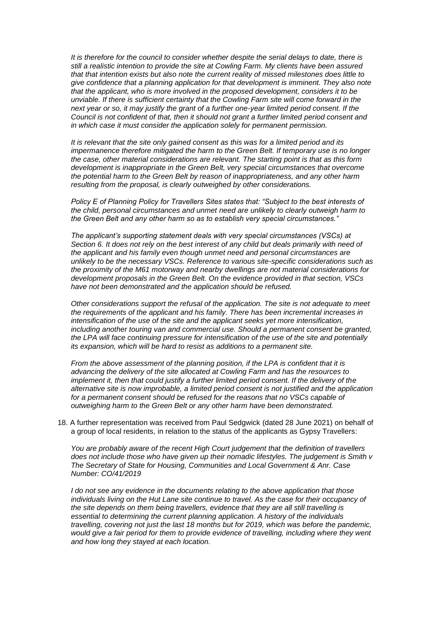*It is therefore for the council to consider whether despite the serial delays to date, there is still a realistic intention to provide the site at Cowling Farm. My clients have been assured that that intention exists but also note the current reality of missed milestones does little to give confidence that a planning application for that development is imminent. They also note that the applicant, who is more involved in the proposed development, considers it to be unviable. If there is sufficient certainty that the Cowling Farm site will come forward in the next year or so, it may justify the grant of a further one-year limited period consent. If the Council is not confident of that, then it should not grant a further limited period consent and in which case it must consider the application solely for permanent permission.*

*It is relevant that the site only gained consent as this was for a limited period and its impermanence therefore mitigated the harm to the Green Belt. If temporary use is no longer the case, other material considerations are relevant. The starting point is that as this form development is inappropriate in the Green Belt, very special circumstances that overcome the potential harm to the Green Belt by reason of inappropriateness, and any other harm resulting from the proposal, is clearly outweighed by other considerations.*

*Policy E of Planning Policy for Travellers Sites states that: "Subject to the best interests of the child, personal circumstances and unmet need are unlikely to clearly outweigh harm to the Green Belt and any other harm so as to establish very special circumstances."*

*The applicant's supporting statement deals with very special circumstances (VSCs) at Section 6. It does not rely on the best interest of any child but deals primarily with need of the applicant and his family even though unmet need and personal circumstances are unlikely to be the necessary VSCs. Reference to various site-specific considerations such as the proximity of the M61 motorway and nearby dwellings are not material considerations for development proposals in the Green Belt. On the evidence provided in that section, VSCs have not been demonstrated and the application should be refused.*

*Other considerations support the refusal of the application. The site is not adequate to meet the requirements of the applicant and his family. There has been incremental increases in intensification of the use of the site and the applicant seeks yet more intensification, including another touring van and commercial use. Should a permanent consent be granted, the LPA will face continuing pressure for intensification of the use of the site and potentially its expansion, which will be hard to resist as additions to a permanent site.*

*From the above assessment of the planning position, if the LPA is confident that it is advancing the delivery of the site allocated at Cowling Farm and has the resources to implement it, then that could justify a further limited period consent. If the delivery of the alternative site is now improbable, a limited period consent is not justified and the application*  for a permanent consent should be refused for the reasons that no VSCs capable of *outweighing harm to the Green Belt or any other harm have been demonstrated.*

18. A further representation was received from Paul Sedgwick (dated 28 June 2021) on behalf of a group of local residents, in relation to the status of the applicants as Gypsy Travellers:

*You are probably aware of the recent High Court judgement that the definition of travellers does not include those who have given up their nomadic lifestyles. The judgement is Smith v The Secretary of State for Housing, Communities and Local Government & Anr. Case Number: CO/41/2019*

*I do not see any evidence in the documents relating to the above application that those individuals living on the Hut Lane site continue to travel. As the case for their occupancy of the site depends on them being travellers, evidence that they are all still travelling is essential to determining the current planning application. A history of the individuals travelling, covering not just the last 18 months but for 2019, which was before the pandemic, would give a fair period for them to provide evidence of travelling, including where they went and how long they stayed at each location.*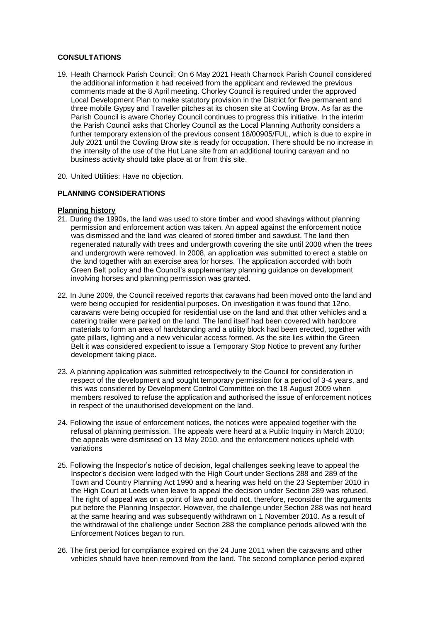## **CONSULTATIONS**

- 19. Heath Charnock Parish Council: On 6 May 2021 Heath Charnock Parish Council considered the additional information it had received from the applicant and reviewed the previous comments made at the 8 April meeting. Chorley Council is required under the approved Local Development Plan to make statutory provision in the District for five permanent and three mobile Gypsy and Traveller pitches at its chosen site at Cowling Brow. As far as the Parish Council is aware Chorley Council continues to progress this initiative. In the interim the Parish Council asks that Chorley Council as the Local Planning Authority considers a further temporary extension of the previous consent 18/00905/FUL, which is due to expire in July 2021 until the Cowling Brow site is ready for occupation. There should be no increase in the intensity of the use of the Hut Lane site from an additional touring caravan and no business activity should take place at or from this site.
- 20. United Utilities: Have no objection.

### **PLANNING CONSIDERATIONS**

#### **Planning history**

- 21. During the 1990s, the land was used to store timber and wood shavings without planning permission and enforcement action was taken. An appeal against the enforcement notice was dismissed and the land was cleared of stored timber and sawdust. The land then regenerated naturally with trees and undergrowth covering the site until 2008 when the trees and undergrowth were removed. In 2008, an application was submitted to erect a stable on the land together with an exercise area for horses. The application accorded with both Green Belt policy and the Council's supplementary planning guidance on development involving horses and planning permission was granted.
- 22. In June 2009, the Council received reports that caravans had been moved onto the land and were being occupied for residential purposes. On investigation it was found that 12no. caravans were being occupied for residential use on the land and that other vehicles and a catering trailer were parked on the land. The land itself had been covered with hardcore materials to form an area of hardstanding and a utility block had been erected, together with gate pillars, lighting and a new vehicular access formed. As the site lies within the Green Belt it was considered expedient to issue a Temporary Stop Notice to prevent any further development taking place.
- 23. A planning application was submitted retrospectively to the Council for consideration in respect of the development and sought temporary permission for a period of 3-4 years, and this was considered by Development Control Committee on the 18 August 2009 when members resolved to refuse the application and authorised the issue of enforcement notices in respect of the unauthorised development on the land.
- 24. Following the issue of enforcement notices, the notices were appealed together with the refusal of planning permission. The appeals were heard at a Public Inquiry in March 2010; the appeals were dismissed on 13 May 2010, and the enforcement notices upheld with variations
- 25. Following the Inspector's notice of decision, legal challenges seeking leave to appeal the Inspector's decision were lodged with the High Court under Sections 288 and 289 of the Town and Country Planning Act 1990 and a hearing was held on the 23 September 2010 in the High Court at Leeds when leave to appeal the decision under Section 289 was refused. The right of appeal was on a point of law and could not, therefore, reconsider the arguments put before the Planning Inspector. However, the challenge under Section 288 was not heard at the same hearing and was subsequently withdrawn on 1 November 2010. As a result of the withdrawal of the challenge under Section 288 the compliance periods allowed with the Enforcement Notices began to run.
- 26. The first period for compliance expired on the 24 June 2011 when the caravans and other vehicles should have been removed from the land. The second compliance period expired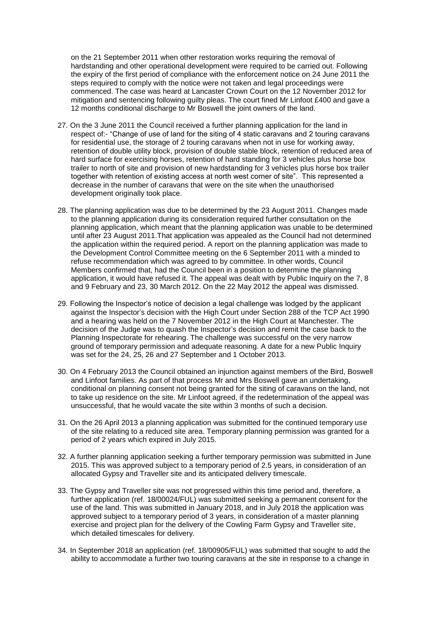on the 21 September 2011 when other restoration works requiring the removal of hardstanding and other operational development were required to be carried out. Following the expiry of the first period of compliance with the enforcement notice on 24 June 2011 the steps required to comply with the notice were not taken and legal proceedings were commenced. The case was heard at Lancaster Crown Court on the 12 November 2012 for mitigation and sentencing following guilty pleas. The court fined Mr Linfoot £400 and gave a 12 months conditional discharge to Mr Boswell the joint owners of the land.

- 27. On the 3 June 2011 the Council received a further planning application for the land in respect of:- "Change of use of land for the siting of 4 static caravans and 2 touring caravans for residential use, the storage of 2 touring caravans when not in use for working away, retention of double utility block, provision of double stable block, retention of reduced area of hard surface for exercising horses, retention of hard standing for 3 vehicles plus horse box trailer to north of site and provision of new hardstanding for 3 vehicles plus horse box trailer together with retention of existing access at north west corner of site". This represented a decrease in the number of caravans that were on the site when the unauthorised development originally took place.
- 28. The planning application was due to be determined by the 23 August 2011. Changes made to the planning application during its consideration required further consultation on the planning application, which meant that the planning application was unable to be determined until after 23 August 2011.That application was appealed as the Council had not determined the application within the required period. A report on the planning application was made to the Development Control Committee meeting on the 6 September 2011 with a minded to refuse recommendation which was agreed to by committee. In other words, Council Members confirmed that, had the Council been in a position to determine the planning application, it would have refused it. The appeal was dealt with by Public Inquiry on the 7, 8 and 9 February and 23, 30 March 2012. On the 22 May 2012 the appeal was dismissed.
- 29. Following the Inspector's notice of decision a legal challenge was lodged by the applicant against the Inspector's decision with the High Court under Section 288 of the TCP Act 1990 and a hearing was held on the 7 November 2012 in the High Court at Manchester. The decision of the Judge was to quash the Inspector's decision and remit the case back to the Planning Inspectorate for rehearing. The challenge was successful on the very narrow ground of temporary permission and adequate reasoning. A date for a new Public Inquiry was set for the 24, 25, 26 and 27 September and 1 October 2013.
- 30. On 4 February 2013 the Council obtained an injunction against members of the Bird, Boswell and Linfoot families. As part of that process Mr and Mrs Boswell gave an undertaking, conditional on planning consent not being granted for the siting of caravans on the land, not to take up residence on the site. Mr Linfoot agreed, if the redetermination of the appeal was unsuccessful, that he would vacate the site within 3 months of such a decision.
- 31. On the 26 April 2013 a planning application was submitted for the continued temporary use of the site relating to a reduced site area. Temporary planning permission was granted for a period of 2 years which expired in July 2015.
- 32. A further planning application seeking a further temporary permission was submitted in June 2015. This was approved subject to a temporary period of 2.5 years, in consideration of an allocated Gypsy and Traveller site and its anticipated delivery timescale.
- 33. The Gypsy and Traveller site was not progressed within this time period and, therefore, a further application (ref. 18/00024/FUL) was submitted seeking a permanent consent for the use of the land. This was submitted in January 2018, and in July 2018 the application was approved subject to a temporary period of 3 years, in consideration of a master planning exercise and project plan for the delivery of the Cowling Farm Gypsy and Traveller site, which detailed timescales for delivery.
- 34. In September 2018 an application (ref. 18/00905/FUL) was submitted that sought to add the ability to accommodate a further two touring caravans at the site in response to a change in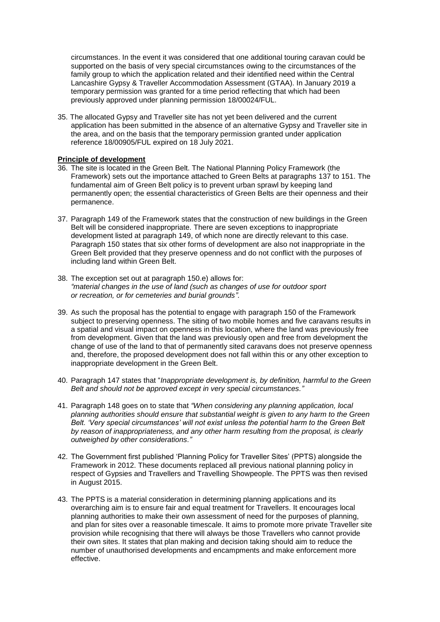circumstances. In the event it was considered that one additional touring caravan could be supported on the basis of very special circumstances owing to the circumstances of the family group to which the application related and their identified need within the Central Lancashire Gypsy & Traveller Accommodation Assessment (GTAA). In January 2019 a temporary permission was granted for a time period reflecting that which had been previously approved under planning permission 18/00024/FUL.

35. The allocated Gypsy and Traveller site has not yet been delivered and the current application has been submitted in the absence of an alternative Gypsy and Traveller site in the area, and on the basis that the temporary permission granted under application reference 18/00905/FUL expired on 18 July 2021.

### **Principle of development**

- 36. The site is located in the Green Belt. The National Planning Policy Framework (the Framework) sets out the importance attached to Green Belts at paragraphs 137 to 151. The fundamental aim of Green Belt policy is to prevent urban sprawl by keeping land permanently open; the essential characteristics of Green Belts are their openness and their permanence.
- 37. Paragraph 149 of the Framework states that the construction of new buildings in the Green Belt will be considered inappropriate. There are seven exceptions to inappropriate development listed at paragraph 149, of which none are directly relevant to this case. Paragraph 150 states that six other forms of development are also not inappropriate in the Green Belt provided that they preserve openness and do not conflict with the purposes of including land within Green Belt.
- 38. The exception set out at paragraph 150.e) allows for: *"material changes in the use of land (such as changes of use for outdoor sport or recreation, or for cemeteries and burial grounds".*
- 39. As such the proposal has the potential to engage with paragraph 150 of the Framework subject to preserving openness. The siting of two mobile homes and five caravans results in a spatial and visual impact on openness in this location, where the land was previously free from development. Given that the land was previously open and free from development the change of use of the land to that of permanently sited caravans does not preserve openness and, therefore, the proposed development does not fall within this or any other exception to inappropriate development in the Green Belt.
- 40. Paragraph 147 states that "*Inappropriate development is, by definition, harmful to the Green Belt and should not be approved except in very special circumstances."*
- 41. Paragraph 148 goes on to state that *"When considering any planning application, local planning authorities should ensure that substantial weight is given to any harm to the Green Belt. 'Very special circumstances' will not exist unless the potential harm to the Green Belt by reason of inappropriateness, and any other harm resulting from the proposal, is clearly outweighed by other considerations."*
- 42. The Government first published 'Planning Policy for Traveller Sites' (PPTS) alongside the Framework in 2012. These documents replaced all previous national planning policy in respect of Gypsies and Travellers and Travelling Showpeople. The PPTS was then revised in August 2015.
- 43. The PPTS is a material consideration in determining planning applications and its overarching aim is to ensure fair and equal treatment for Travellers. It encourages local planning authorities to make their own assessment of need for the purposes of planning, and plan for sites over a reasonable timescale. It aims to promote more private Traveller site provision while recognising that there will always be those Travellers who cannot provide their own sites. It states that plan making and decision taking should aim to reduce the number of unauthorised developments and encampments and make enforcement more effective.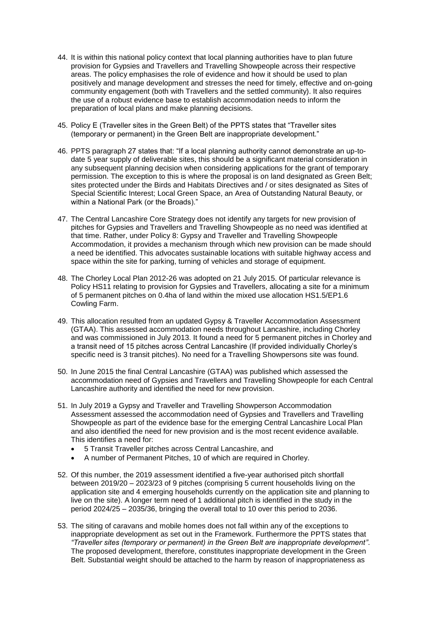- 44. It is within this national policy context that local planning authorities have to plan future provision for Gypsies and Travellers and Travelling Showpeople across their respective areas. The policy emphasises the role of evidence and how it should be used to plan positively and manage development and stresses the need for timely, effective and on-going community engagement (both with Travellers and the settled community). It also requires the use of a robust evidence base to establish accommodation needs to inform the preparation of local plans and make planning decisions.
- 45. Policy E (Traveller sites in the Green Belt) of the PPTS states that "Traveller sites (temporary or permanent) in the Green Belt are inappropriate development."
- 46. PPTS paragraph 27 states that: "If a local planning authority cannot demonstrate an up-todate 5 year supply of deliverable sites, this should be a significant material consideration in any subsequent planning decision when considering applications for the grant of temporary permission. The exception to this is where the proposal is on land designated as Green Belt; sites protected under the Birds and Habitats Directives and / or sites designated as Sites of Special Scientific Interest; Local Green Space, an Area of Outstanding Natural Beauty, or within a National Park (or the Broads)."
- 47. The Central Lancashire Core Strategy does not identify any targets for new provision of pitches for Gypsies and Travellers and Travelling Showpeople as no need was identified at that time. Rather, under Policy 8: Gypsy and Traveller and Travelling Showpeople Accommodation, it provides a mechanism through which new provision can be made should a need be identified. This advocates sustainable locations with suitable highway access and space within the site for parking, turning of vehicles and storage of equipment.
- 48. The Chorley Local Plan 2012-26 was adopted on 21 July 2015. Of particular relevance is Policy HS11 relating to provision for Gypsies and Travellers, allocating a site for a minimum of 5 permanent pitches on 0.4ha of land within the mixed use allocation HS1.5/EP1.6 Cowling Farm.
- 49. This allocation resulted from an updated Gypsy & Traveller Accommodation Assessment (GTAA). This assessed accommodation needs throughout Lancashire, including Chorley and was commissioned in July 2013. It found a need for 5 permanent pitches in Chorley and a transit need of 15 pitches across Central Lancashire (If provided individually Chorley's specific need is 3 transit pitches). No need for a Travelling Showpersons site was found.
- 50. In June 2015 the final Central Lancashire (GTAA) was published which assessed the accommodation need of Gypsies and Travellers and Travelling Showpeople for each Central Lancashire authority and identified the need for new provision.
- 51. In July 2019 a Gypsy and Traveller and Travelling Showperson Accommodation Assessment assessed the accommodation need of Gypsies and Travellers and Travelling Showpeople as part of the evidence base for the emerging Central Lancashire Local Plan and also identified the need for new provision and is the most recent evidence available. This identifies a need for:
	- 5 Transit Traveller pitches across Central Lancashire, and
	- A number of Permanent Pitches, 10 of which are required in Chorley.
- 52. Of this number, the 2019 assessment identified a five-year authorised pitch shortfall between 2019/20 – 2023/23 of 9 pitches (comprising 5 current households living on the application site and 4 emerging households currently on the application site and planning to live on the site). A longer term need of 1 additional pitch is identified in the study in the period 2024/25 – 2035/36, bringing the overall total to 10 over this period to 2036.
- 53. The siting of caravans and mobile homes does not fall within any of the exceptions to inappropriate development as set out in the Framework. Furthermore the PPTS states that *"Traveller sites (temporary or permanent) in the Green Belt are inappropriate development"*. The proposed development, therefore, constitutes inappropriate development in the Green Belt. Substantial weight should be attached to the harm by reason of inappropriateness as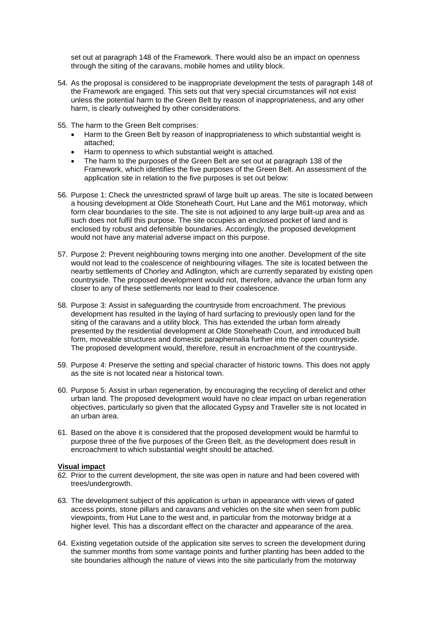set out at paragraph 148 of the Framework. There would also be an impact on openness through the siting of the caravans, mobile homes and utility block.

- 54. As the proposal is considered to be inappropriate development the tests of paragraph 148 of the Framework are engaged. This sets out that very special circumstances will not exist unless the potential harm to the Green Belt by reason of inappropriateness, and any other harm, is clearly outweighed by other considerations.
- 55. The harm to the Green Belt comprises:
	- Harm to the Green Belt by reason of inappropriateness to which substantial weight is attached;
	- Harm to openness to which substantial weight is attached.
	- The harm to the purposes of the Green Belt are set out at paragraph 138 of the Framework, which identifies the five purposes of the Green Belt. An assessment of the application site in relation to the five purposes is set out below:
- 56. Purpose 1: Check the unrestricted sprawl of large built up areas. The site is located between a housing development at Olde Stoneheath Court, Hut Lane and the M61 motorway, which form clear boundaries to the site. The site is not adjoined to any large built-up area and as such does not fulfil this purpose. The site occupies an enclosed pocket of land and is enclosed by robust and defensible boundaries. Accordingly, the proposed development would not have any material adverse impact on this purpose.
- 57. Purpose 2: Prevent neighbouring towns merging into one another. Development of the site would not lead to the coalescence of neighbouring villages. The site is located between the nearby settlements of Chorley and Adlington, which are currently separated by existing open countryside. The proposed development would not, therefore, advance the urban form any closer to any of these settlements nor lead to their coalescence.
- 58. Purpose 3: Assist in safeguarding the countryside from encroachment. The previous development has resulted in the laying of hard surfacing to previously open land for the siting of the caravans and a utility block. This has extended the urban form already presented by the residential development at Olde Stoneheath Court, and introduced built form, moveable structures and domestic paraphernalia further into the open countryside. The proposed development would, therefore, result in encroachment of the countryside.
- 59. Purpose 4: Preserve the setting and special character of historic towns. This does not apply as the site is not located near a historical town.
- 60. Purpose 5: Assist in urban regeneration, by encouraging the recycling of derelict and other urban land. The proposed development would have no clear impact on urban regeneration objectives, particularly so given that the allocated Gypsy and Traveller site is not located in an urban area.
- 61. Based on the above it is considered that the proposed development would be harmful to purpose three of the five purposes of the Green Belt, as the development does result in encroachment to which substantial weight should be attached.

#### **Visual impact**

- 62. Prior to the current development, the site was open in nature and had been covered with trees/undergrowth.
- 63. The development subject of this application is urban in appearance with views of gated access points, stone pillars and caravans and vehicles on the site when seen from public viewpoints, from Hut Lane to the west and, in particular from the motorway bridge at a higher level. This has a discordant effect on the character and appearance of the area.
- 64. Existing vegetation outside of the application site serves to screen the development during the summer months from some vantage points and further planting has been added to the site boundaries although the nature of views into the site particularly from the motorway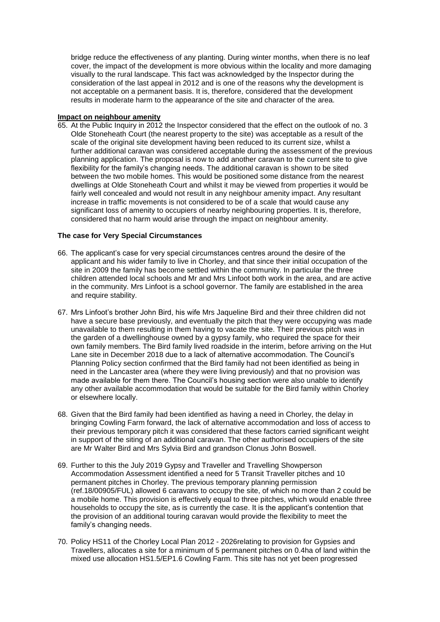bridge reduce the effectiveness of any planting. During winter months, when there is no leaf cover, the impact of the development is more obvious within the locality and more damaging visually to the rural landscape. This fact was acknowledged by the Inspector during the consideration of the last appeal in 2012 and is one of the reasons why the development is not acceptable on a permanent basis. It is, therefore, considered that the development results in moderate harm to the appearance of the site and character of the area.

### **Impact on neighbour amenity**

65. At the Public Inquiry in 2012 the Inspector considered that the effect on the outlook of no. 3 Olde Stoneheath Court (the nearest property to the site) was acceptable as a result of the scale of the original site development having been reduced to its current size, whilst a further additional caravan was considered acceptable during the assessment of the previous planning application. The proposal is now to add another caravan to the current site to give flexibility for the family's changing needs. The additional caravan is shown to be sited between the two mobile homes. This would be positioned some distance from the nearest dwellings at Olde Stoneheath Court and whilst it may be viewed from properties it would be fairly well concealed and would not result in any neighbour amenity impact. Any resultant increase in traffic movements is not considered to be of a scale that would cause any significant loss of amenity to occupiers of nearby neighbouring properties. It is, therefore, considered that no harm would arise through the impact on neighbour amenity.

# **The case for Very Special Circumstances**

- 66. The applicant's case for very special circumstances centres around the desire of the applicant and his wider family to live in Chorley, and that since their initial occupation of the site in 2009 the family has become settled within the community. In particular the three children attended local schools and Mr and Mrs Linfoot both work in the area, and are active in the community. Mrs Linfoot is a school governor. The family are established in the area and require stability.
- 67. Mrs Linfoot's brother John Bird, his wife Mrs Jaqueline Bird and their three children did not have a secure base previously, and eventually the pitch that they were occupying was made unavailable to them resulting in them having to vacate the site. Their previous pitch was in the garden of a dwellinghouse owned by a gypsy family, who required the space for their own family members. The Bird family lived roadside in the interim, before arriving on the Hut Lane site in December 2018 due to a lack of alternative accommodation. The Council's Planning Policy section confirmed that the Bird family had not been identified as being in need in the Lancaster area (where they were living previously) and that no provision was made available for them there. The Council's housing section were also unable to identify any other available accommodation that would be suitable for the Bird family within Chorley or elsewhere locally.
- 68. Given that the Bird family had been identified as having a need in Chorley, the delay in bringing Cowling Farm forward, the lack of alternative accommodation and loss of access to their previous temporary pitch it was considered that these factors carried significant weight in support of the siting of an additional caravan. The other authorised occupiers of the site are Mr Walter Bird and Mrs Sylvia Bird and grandson Clonus John Boswell.
- 69. Further to this the July 2019 Gypsy and Traveller and Travelling Showperson Accommodation Assessment identified a need for 5 Transit Traveller pitches and 10 permanent pitches in Chorley. The previous temporary planning permission (ref.18/00905/FUL) allowed 6 caravans to occupy the site, of which no more than 2 could be a mobile home. This provision is effectively equal to three pitches, which would enable three households to occupy the site, as is currently the case. It is the applicant's contention that the provision of an additional touring caravan would provide the flexibility to meet the family's changing needs.
- 70. Policy HS11 of the Chorley Local Plan 2012 2026relating to provision for Gypsies and Travellers, allocates a site for a minimum of 5 permanent pitches on 0.4ha of land within the mixed use allocation HS1.5/EP1.6 Cowling Farm. This site has not yet been progressed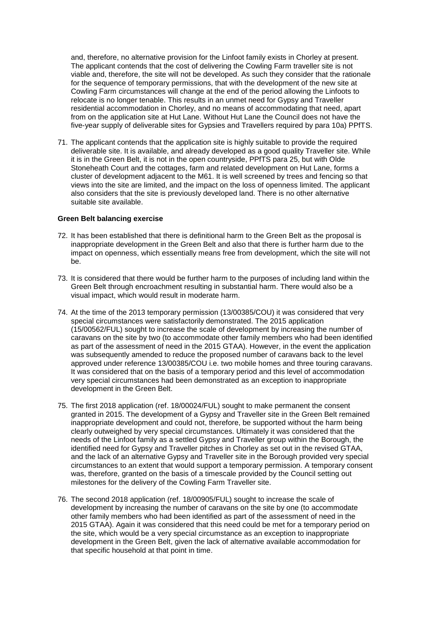and, therefore, no alternative provision for the Linfoot family exists in Chorley at present. The applicant contends that the cost of delivering the Cowling Farm traveller site is not viable and, therefore, the site will not be developed. As such they consider that the rationale for the sequence of temporary permissions, that with the development of the new site at Cowling Farm circumstances will change at the end of the period allowing the Linfoots to relocate is no longer tenable. This results in an unmet need for Gypsy and Traveller residential accommodation in Chorley, and no means of accommodating that need, apart from on the application site at Hut Lane. Without Hut Lane the Council does not have the five-year supply of deliverable sites for Gypsies and Travellers required by para 10a) PPfTS.

71. The applicant contends that the application site is highly suitable to provide the required deliverable site. It is available, and already developed as a good quality Traveller site. While it is in the Green Belt, it is not in the open countryside, PPfTS para 25, but with Olde Stoneheath Court and the cottages, farm and related development on Hut Lane, forms a cluster of development adjacent to the M61. It is well screened by trees and fencing so that views into the site are limited, and the impact on the loss of openness limited. The applicant also considers that the site is previously developed land. There is no other alternative suitable site available.

#### **Green Belt balancing exercise**

- 72. It has been established that there is definitional harm to the Green Belt as the proposal is inappropriate development in the Green Belt and also that there is further harm due to the impact on openness, which essentially means free from development, which the site will not be.
- 73. It is considered that there would be further harm to the purposes of including land within the Green Belt through encroachment resulting in substantial harm. There would also be a visual impact, which would result in moderate harm.
- 74. At the time of the 2013 temporary permission (13/00385/COU) it was considered that very special circumstances were satisfactorily demonstrated. The 2015 application (15/00562/FUL) sought to increase the scale of development by increasing the number of caravans on the site by two (to accommodate other family members who had been identified as part of the assessment of need in the 2015 GTAA). However, in the event the application was subsequently amended to reduce the proposed number of caravans back to the level approved under reference 13/00385/COU i.e. two mobile homes and three touring caravans. It was considered that on the basis of a temporary period and this level of accommodation very special circumstances had been demonstrated as an exception to inappropriate development in the Green Belt.
- 75. The first 2018 application (ref. 18/00024/FUL) sought to make permanent the consent granted in 2015. The development of a Gypsy and Traveller site in the Green Belt remained inappropriate development and could not, therefore, be supported without the harm being clearly outweighed by very special circumstances. Ultimately it was considered that the needs of the Linfoot family as a settled Gypsy and Traveller group within the Borough, the identified need for Gypsy and Traveller pitches in Chorley as set out in the revised GTAA, and the lack of an alternative Gypsy and Traveller site in the Borough provided very special circumstances to an extent that would support a temporary permission. A temporary consent was, therefore, granted on the basis of a timescale provided by the Council setting out milestones for the delivery of the Cowling Farm Traveller site.
- 76. The second 2018 application (ref. 18/00905/FUL) sought to increase the scale of development by increasing the number of caravans on the site by one (to accommodate other family members who had been identified as part of the assessment of need in the 2015 GTAA). Again it was considered that this need could be met for a temporary period on the site, which would be a very special circumstance as an exception to inappropriate development in the Green Belt, given the lack of alternative available accommodation for that specific household at that point in time.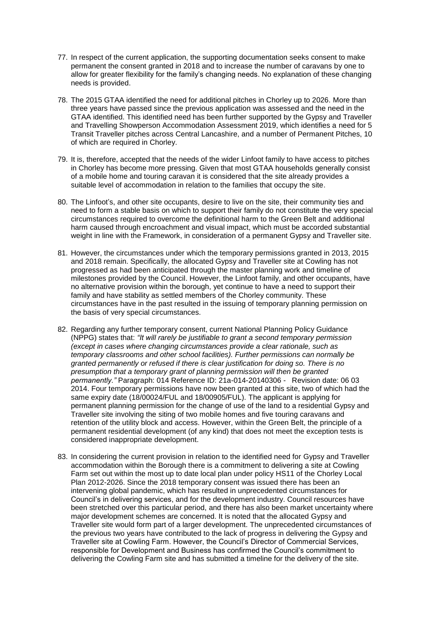- 77. In respect of the current application, the supporting documentation seeks consent to make permanent the consent granted in 2018 and to increase the number of caravans by one to allow for greater flexibility for the family's changing needs. No explanation of these changing needs is provided.
- 78. The 2015 GTAA identified the need for additional pitches in Chorley up to 2026. More than three years have passed since the previous application was assessed and the need in the GTAA identified. This identified need has been further supported by the Gypsy and Traveller and Travelling Showperson Accommodation Assessment 2019, which identifies a need for 5 Transit Traveller pitches across Central Lancashire, and a number of Permanent Pitches, 10 of which are required in Chorley.
- 79. It is, therefore, accepted that the needs of the wider Linfoot family to have access to pitches in Chorley has become more pressing. Given that most GTAA households generally consist of a mobile home and touring caravan it is considered that the site already provides a suitable level of accommodation in relation to the families that occupy the site.
- 80. The Linfoot's, and other site occupants, desire to live on the site, their community ties and need to form a stable basis on which to support their family do not constitute the very special circumstances required to overcome the definitional harm to the Green Belt and additional harm caused through encroachment and visual impact, which must be accorded substantial weight in line with the Framework, in consideration of a permanent Gypsy and Traveller site.
- 81. However, the circumstances under which the temporary permissions granted in 2013, 2015 and 2018 remain. Specifically, the allocated Gypsy and Traveller site at Cowling has not progressed as had been anticipated through the master planning work and timeline of milestones provided by the Council. However, the Linfoot family, and other occupants, have no alternative provision within the borough, yet continue to have a need to support their family and have stability as settled members of the Chorley community. These circumstances have in the past resulted in the issuing of temporary planning permission on the basis of very special circumstances.
- 82. Regarding any further temporary consent, current National Planning Policy Guidance (NPPG) states that: *"It will rarely be justifiable to grant a second temporary permission (except in cases where changing circumstances provide a clear rationale, such as temporary classrooms and other school facilities). Further permissions can normally be granted permanently or refused if there is clear justification for doing so. There is no presumption that a temporary grant of planning permission will then be granted permanently."* Paragraph: 014 Reference ID: 21a-014-20140306 - Revision date: 06 03 2014. Four temporary permissions have now been granted at this site, two of which had the same expiry date (18/00024/FUL and 18/00905/FUL). The applicant is applying for permanent planning permission for the change of use of the land to a residential Gypsy and Traveller site involving the siting of two mobile homes and five touring caravans and retention of the utility block and access. However, within the Green Belt, the principle of a permanent residential development (of any kind) that does not meet the exception tests is considered inappropriate development.
- 83. In considering the current provision in relation to the identified need for Gypsy and Traveller accommodation within the Borough there is a commitment to delivering a site at Cowling Farm set out within the most up to date local plan under policy HS11 of the Chorley Local Plan 2012-2026. Since the 2018 temporary consent was issued there has been an intervening global pandemic, which has resulted in unprecedented circumstances for Council's in delivering services, and for the development industry. Council resources have been stretched over this particular period, and there has also been market uncertainty where major development schemes are concerned. It is noted that the allocated Gypsy and Traveller site would form part of a larger development. The unprecedented circumstances of the previous two years have contributed to the lack of progress in delivering the Gypsy and Traveller site at Cowling Farm. However, the Council's Director of Commercial Services, responsible for Development and Business has confirmed the Council's commitment to delivering the Cowling Farm site and has submitted a timeline for the delivery of the site.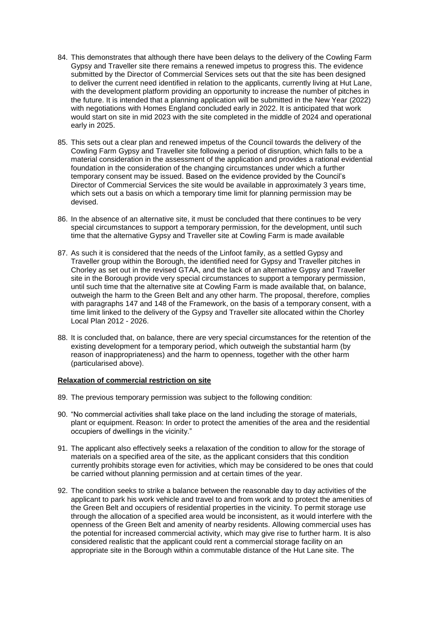- 84. This demonstrates that although there have been delays to the delivery of the Cowling Farm Gypsy and Traveller site there remains a renewed impetus to progress this. The evidence submitted by the Director of Commercial Services sets out that the site has been designed to deliver the current need identified in relation to the applicants, currently living at Hut Lane, with the development platform providing an opportunity to increase the number of pitches in the future. It is intended that a planning application will be submitted in the New Year (2022) with negotiations with Homes England concluded early in 2022. It is anticipated that work would start on site in mid 2023 with the site completed in the middle of 2024 and operational early in 2025.
- 85. This sets out a clear plan and renewed impetus of the Council towards the delivery of the Cowling Farm Gypsy and Traveller site following a period of disruption, which falls to be a material consideration in the assessment of the application and provides a rational evidential foundation in the consideration of the changing circumstances under which a further temporary consent may be issued. Based on the evidence provided by the Council's Director of Commercial Services the site would be available in approximately 3 years time, which sets out a basis on which a temporary time limit for planning permission may be devised.
- 86. In the absence of an alternative site, it must be concluded that there continues to be very special circumstances to support a temporary permission, for the development, until such time that the alternative Gypsy and Traveller site at Cowling Farm is made available
- 87. As such it is considered that the needs of the Linfoot family, as a settled Gypsy and Traveller group within the Borough, the identified need for Gypsy and Traveller pitches in Chorley as set out in the revised GTAA, and the lack of an alternative Gypsy and Traveller site in the Borough provide very special circumstances to support a temporary permission, until such time that the alternative site at Cowling Farm is made available that, on balance, outweigh the harm to the Green Belt and any other harm. The proposal, therefore, complies with paragraphs 147 and 148 of the Framework, on the basis of a temporary consent, with a time limit linked to the delivery of the Gypsy and Traveller site allocated within the Chorley Local Plan 2012 - 2026.
- 88. It is concluded that, on balance, there are very special circumstances for the retention of the existing development for a temporary period, which outweigh the substantial harm (by reason of inappropriateness) and the harm to openness, together with the other harm (particularised above).

#### **Relaxation of commercial restriction on site**

- 89. The previous temporary permission was subject to the following condition:
- 90. "No commercial activities shall take place on the land including the storage of materials, plant or equipment. Reason: In order to protect the amenities of the area and the residential occupiers of dwellings in the vicinity."
- 91. The applicant also effectively seeks a relaxation of the condition to allow for the storage of materials on a specified area of the site, as the applicant considers that this condition currently prohibits storage even for activities, which may be considered to be ones that could be carried without planning permission and at certain times of the year.
- 92. The condition seeks to strike a balance between the reasonable day to day activities of the applicant to park his work vehicle and travel to and from work and to protect the amenities of the Green Belt and occupiers of residential properties in the vicinity. To permit storage use through the allocation of a specified area would be inconsistent, as it would interfere with the openness of the Green Belt and amenity of nearby residents. Allowing commercial uses has the potential for increased commercial activity, which may give rise to further harm. It is also considered realistic that the applicant could rent a commercial storage facility on an appropriate site in the Borough within a commutable distance of the Hut Lane site. The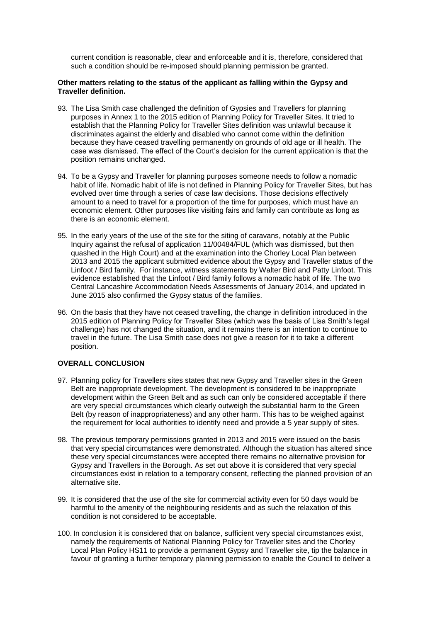current condition is reasonable, clear and enforceable and it is, therefore, considered that such a condition should be re-imposed should planning permission be granted.

#### **Other matters relating to the status of the applicant as falling within the Gypsy and Traveller definition.**

- 93. The Lisa Smith case challenged the definition of Gypsies and Travellers for planning purposes in Annex 1 to the 2015 edition of Planning Policy for Traveller Sites. It tried to establish that the Planning Policy for Traveller Sites definition was unlawful because it discriminates against the elderly and disabled who cannot come within the definition because they have ceased travelling permanently on grounds of old age or ill health. The case was dismissed. The effect of the Court's decision for the current application is that the position remains unchanged.
- 94. To be a Gypsy and Traveller for planning purposes someone needs to follow a nomadic habit of life. Nomadic habit of life is not defined in Planning Policy for Traveller Sites, but has evolved over time through a series of case law decisions. Those decisions effectively amount to a need to travel for a proportion of the time for purposes, which must have an economic element. Other purposes like visiting fairs and family can contribute as long as there is an economic element.
- 95. In the early years of the use of the site for the siting of caravans, notably at the Public Inquiry against the refusal of application 11/00484/FUL (which was dismissed, but then quashed in the High Court) and at the examination into the Chorley Local Plan between 2013 and 2015 the applicant submitted evidence about the Gypsy and Traveller status of the Linfoot / Bird family. For instance, witness statements by Walter Bird and Patty Linfoot. This evidence established that the Linfoot / Bird family follows a nomadic habit of life. The two Central Lancashire Accommodation Needs Assessments of January 2014, and updated in June 2015 also confirmed the Gypsy status of the families.
- 96. On the basis that they have not ceased travelling, the change in definition introduced in the 2015 edition of Planning Policy for Traveller Sites (which was the basis of Lisa Smith's legal challenge) has not changed the situation, and it remains there is an intention to continue to travel in the future. The Lisa Smith case does not give a reason for it to take a different position.

### **OVERALL CONCLUSION**

- 97. Planning policy for Travellers sites states that new Gypsy and Traveller sites in the Green Belt are inappropriate development. The development is considered to be inappropriate development within the Green Belt and as such can only be considered acceptable if there are very special circumstances which clearly outweigh the substantial harm to the Green Belt (by reason of inappropriateness) and any other harm. This has to be weighed against the requirement for local authorities to identify need and provide a 5 year supply of sites.
- 98. The previous temporary permissions granted in 2013 and 2015 were issued on the basis that very special circumstances were demonstrated. Although the situation has altered since these very special circumstances were accepted there remains no alternative provision for Gypsy and Travellers in the Borough. As set out above it is considered that very special circumstances exist in relation to a temporary consent, reflecting the planned provision of an alternative site.
- 99. It is considered that the use of the site for commercial activity even for 50 days would be harmful to the amenity of the neighbouring residents and as such the relaxation of this condition is not considered to be acceptable.
- 100. In conclusion it is considered that on balance, sufficient very special circumstances exist, namely the requirements of National Planning Policy for Traveller sites and the Chorley Local Plan Policy HS11 to provide a permanent Gypsy and Traveller site, tip the balance in favour of granting a further temporary planning permission to enable the Council to deliver a